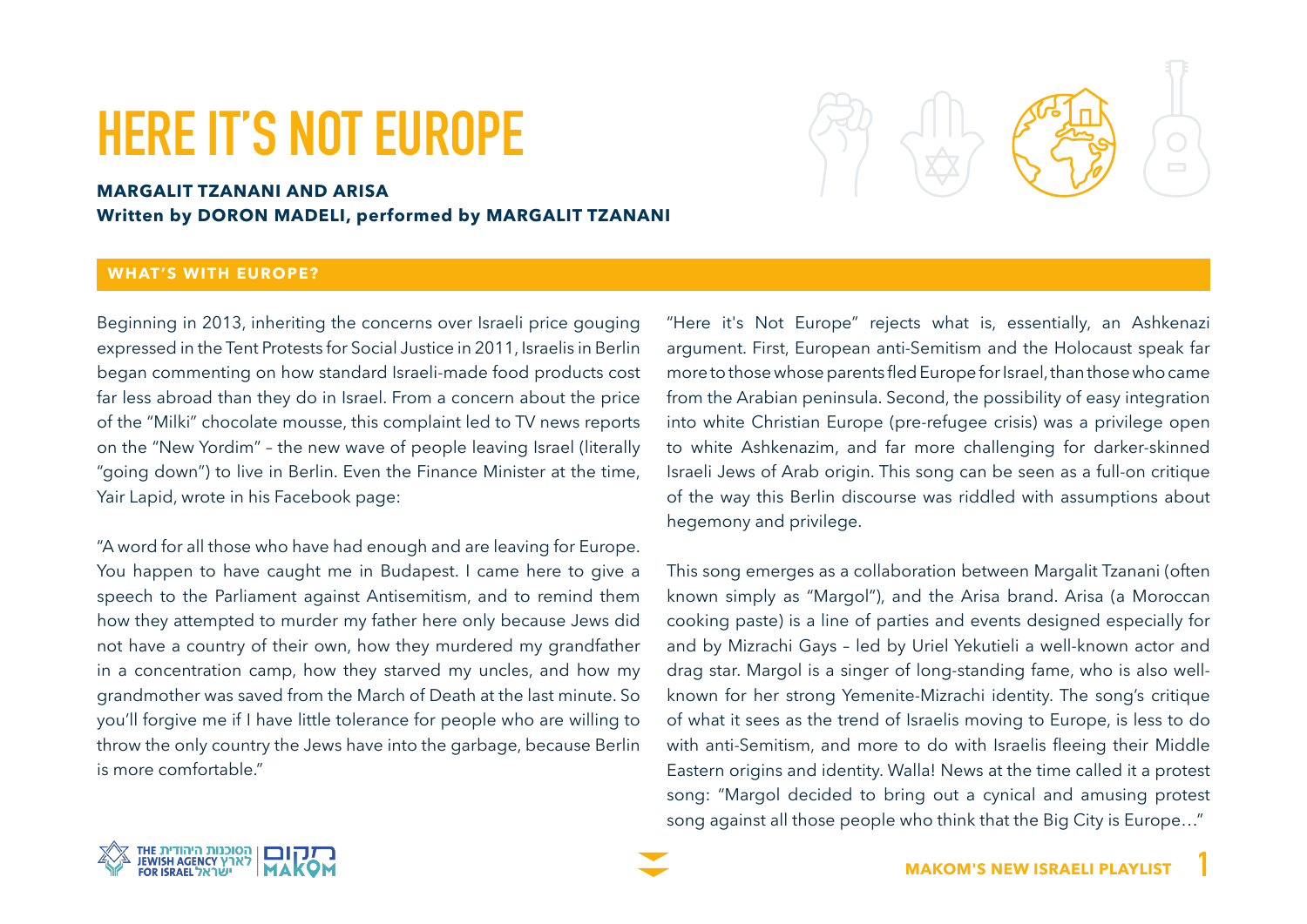# **HERE IT'S NOT EUROPE**

# **MARGALIT TZANANI AND ARISA Written by DORON MADELI, performed by MARGALIT TZANANI**

## **WHAT'S WITH EUROPE?**

Beginning in 2013, inheriting the concerns over Israeli price gouging expressed in the Tent Protests for Social Justice in 2011, Israelis in Berlin began commenting on how standard Israeli-made food products cost far less abroad than they do in Israel. From a concern about the price of the "Milki" chocolate mousse, this complaint led to TV news reports on the "New Yordim" - the new wave of people leaving Israel (literally "going down") to live in Berlin. Even the Finance Minister at the time, Yair Lapid, wrote in his Facebook page:

"A word for all those who have had enough and are leaving for Europe. You happen to have caught me in Budapest. I came here to give a speech to the Parliament against Antisemitism, and to remind them how they attempted to murder my father here only because Jews did not have a country of their own, how they murdered my grandfather in a concentration camp, how they starved my uncles, and how my grandmother was saved from the March of Death at the last minute. So you'll forgive me if I have little tolerance for people who are willing to throw the only country the Jews have into the garbage, because Berlin is more comfortable."

"Here it's Not Europe" rejects what is, essentially, an Ashkenazi argument. First, European anti-Semitism and the Holocaust speak far more to those whose parents fled Europe for Israel, than those who came from the Arabian peninsula. Second, the possibility of easy integration into white Christian Europe (pre-refugee crisis) was a privilege open to white Ashkenazim, and far more challenging for darker-skinned Israeli Jews of Arab origin. This song can be seen as a full-on critique of the way this Berlin discourse was riddled with assumptions about hegemony and privilege.

This song emerges as a collaboration between Margalit Tzanani (often known simply as "Margol"), and the Arisa brand. Arisa (a Moroccan cooking paste) is a line of parties and events designed especially for and by Mizrachi Gays - led by Uriel Yekutieli a well-known actor and known for her strong Yemenite-Mizrachi identity. The song's critique drag star. Margol is a singer of long-standing fame, who is also wellof what it sees as the trend of Israelis moving to Europe, is less to do with anti-Semitism, and more to do with Israelis fleeing their Middle Eastern origins and identity. Walla! News at the time called it a protest song: "Margol decided to bring out a cynical and amusing protest song against all those people who think that the Big City is Europe..."



**1**

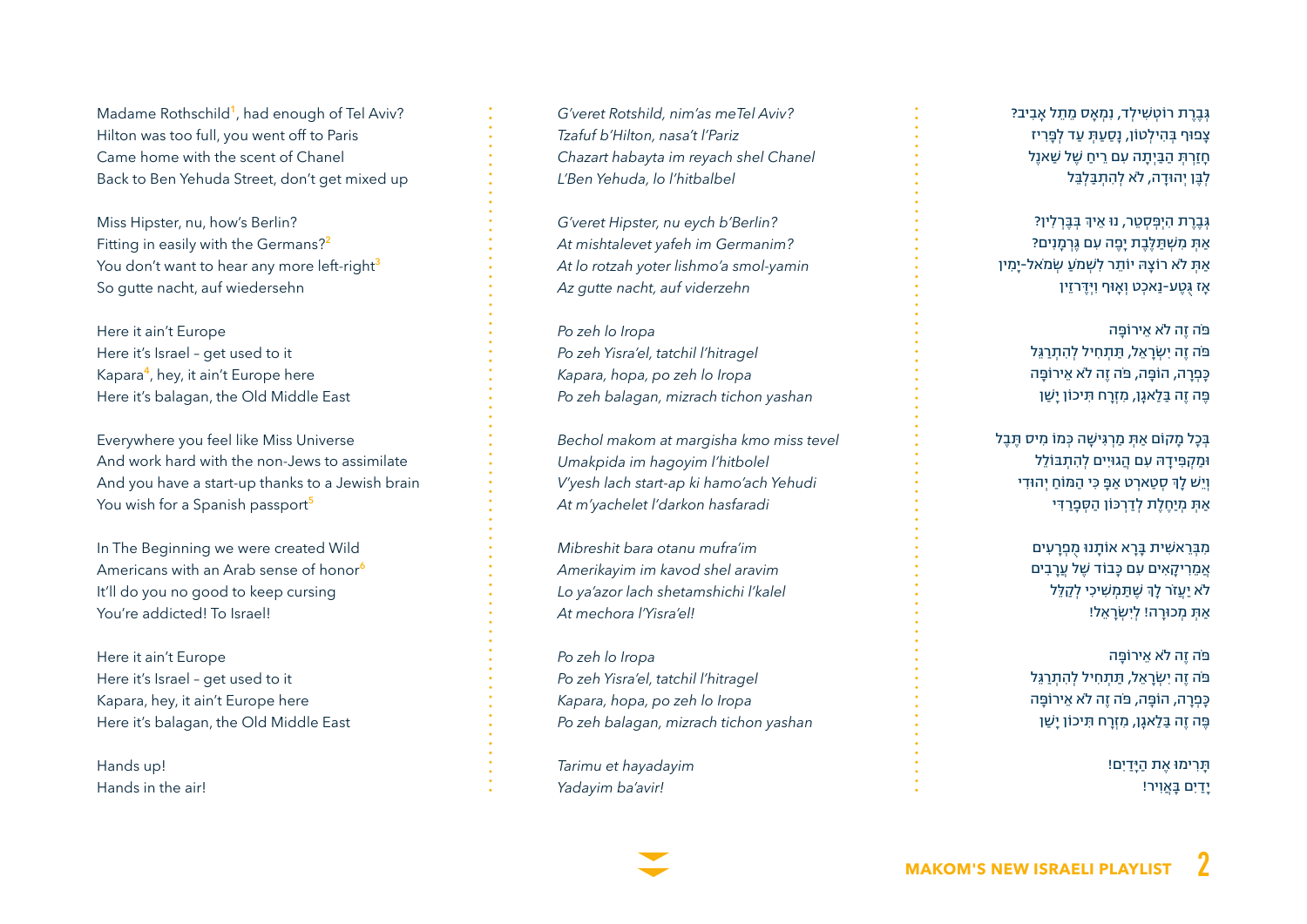Madame Rothschild<sup>1</sup>, had enough of Tel Aviv? Hilton was too full, you went off to Paris Came home with the scent of Chanel Back to Ben Yehuda Street, don't get mixed up

Miss Hipster, nu, how's Berlin? Fitting in easily with the Germans?<sup>2</sup> You don't want to hear any more left-right<sup>3</sup> So gutte nacht, auf wiedersehn

Here it ain't Europe Here it's Israel - get used to it Kapara<sup>4</sup>, hey, it ain't Europe here Here it's balagan, the Old Middle East

Everywhere you feel like Miss Universe And work hard with the non-lews to assimilate And vou have a start-up thanks to a Jewish brain You wish for a Spanish passport<sup>5</sup>

In The Beginning we were created Wild Americans with an Arab sense of honor<sup>6</sup> It'll do you no good to keep cursing You're addicted! To Israel!

Here it ain't Europe Here it's Israel - get used to it Kapara, hey, it ain't Europe here Here it's balagan, the Old Middle East

Hands up! Hands in the airl *G'veret Rotshild nim'as meTel Aviv?* Tzafuf b'Hilton, nasa't l'Pariz *Chazart habayta im reyach shel Chanel L'Ben Yehuda, lo l'hitbalbel* 

*G'veret Hipster, nu eych b'Berlin?* At mishtalevet yafeh im Germanim? At lo rotzah yoter lishmo'a smol-yamin Az qutte nacht, auf viderzehn

Po zeh lo Iropa  $P$ o zeh Yisra'el, tatchil l'hitragel *Kapara, hopa, po zeh lo Iropa Po zeh balagan, mizrach tichon yashan* 

Bechol makom at margisha kmo miss tevel *Umakpida im hagoyim l'hitbolel V'yesh lach start-ap ki hamo'ach Yehudi* At m'yachelet l'darkon hasfaradi

*im'mufra otanu bara Mibreshit aravim shel kavod im Amerikayim* Lo ya'azor lach shetamshichi l'kalel At mechora *l'Yisra'ell* 

Po zeh lo Iropa  $P$ o zeh Yisra'el, tatchil l'hitragel *Kapara, hopa, po zeh lo Iropa Po zeh balagan, mizrach tichon yashan* 

*hayadayim et Tarimu !avir'ba Yadayim*

ּגְ בֶ רֶ ת רֹוטְ ׁשִ ילְ ד, נִמְ ָאס מֵ תֵ ל ָאבִ יב? צָפּוף ּבְ הִ ילְטֹון, נָסַ עַּתְ עַד לְּפָ רִ יז חָ זַרְ ּתְ הַ ּבַ יְתָ ה עִ ם רֵ יחַ ׁשֶ ל ׁשַ אנֶל לְּבֶ ן יְהּודָ ה, ל ֹא לְ הִ תְ ּבַ לְּבֵ ל

<mark>ְגְבֶרֶת הִיְפְּסְטֵר, נוּ אֵיךְ בְּבֶּךְלִי</mark>וְ? ַ אִתְּ מִשְׁתַּלֶּבֶת יַפֶה עִם גֵּרְמַנִים? ּאַתָּ לֹא רוֹצֵהּ יוֹתֵר לִשְׁמֹעַ שְׂמֹאל-יַמִין ָאז ּגֻטֶ ע-נַאכְט וְאׇ ּוף וִּיְּדֶ רזֵין

> ּפֹה זֶה לֹא אֵירוֹפֵּה ּפֹה זֶה יִׂשְ רָ אֵ ל, ּתַ תְ חִ יל לְ הִ תְ רַ ּגֵל ּכָפְ רָ ה, הֹוּפָ ה, ּפֹה זֶה ל ֹא אֵ ירֹוּפָ ה ּפֶ ה זֶה ּבַ לַאגׇן, מִ זְרָ ח ּתִ יכֹון יָׁשַ ן

ָ בְּכַל מַקוֹם אַתְ מַרְגִישַׁה כְּמוֹ מִיס תָּבַל ּומַ קְ ּפִ ידָ ּה עִ ם הֲגּויִים לְ הִ תְ ּבֹולֵל וְיֵשׁ לָךְ סְטַארְט אַפָּ כִּי הַמּוֹחַ יְהוּדִי ַאָתָ מְיַחֶלֶת לְדַרְכּוֹן הַסְפָרַדִּי

> מִ ּבְ רֵ אׁשִ ית ּבָ רָ א אֹותָ נּו מֻ פְ רָ עִ ים אמריקאים עם כּבוֹד שַׁל עַרבִים לֹא יַעֲזֹר לָךָ שֶׁתַּמְשִׁיכִי לְ<mark>קַ</mark>לֵּל ַאַתְ מְכוּרָה! לְיִשְׂרָאֵל!

> ּפֹה זֶה לֹא אֵירוֹפֵּה ּפֹה זֶה יִׂשְ רָ אֵ ל, ּתַ תְ חִ יל לְ הִ תְ רַ ּגֵל ּכָפְ רָ ה, הֹוּפָ ה, ּפֹה זֶה ל ֹא אֵ ירֹוּפָ ה ּפֶ ה זֶה ּבַ לַאגׇן, מִ זְרָ ח ּתִ יכֹון יָׁשַ ן

> > ּתָ רִ ימּו אֶ ת הַ ּיָדַ יִם! יָדַ יִם ּבָ אֲוִיר!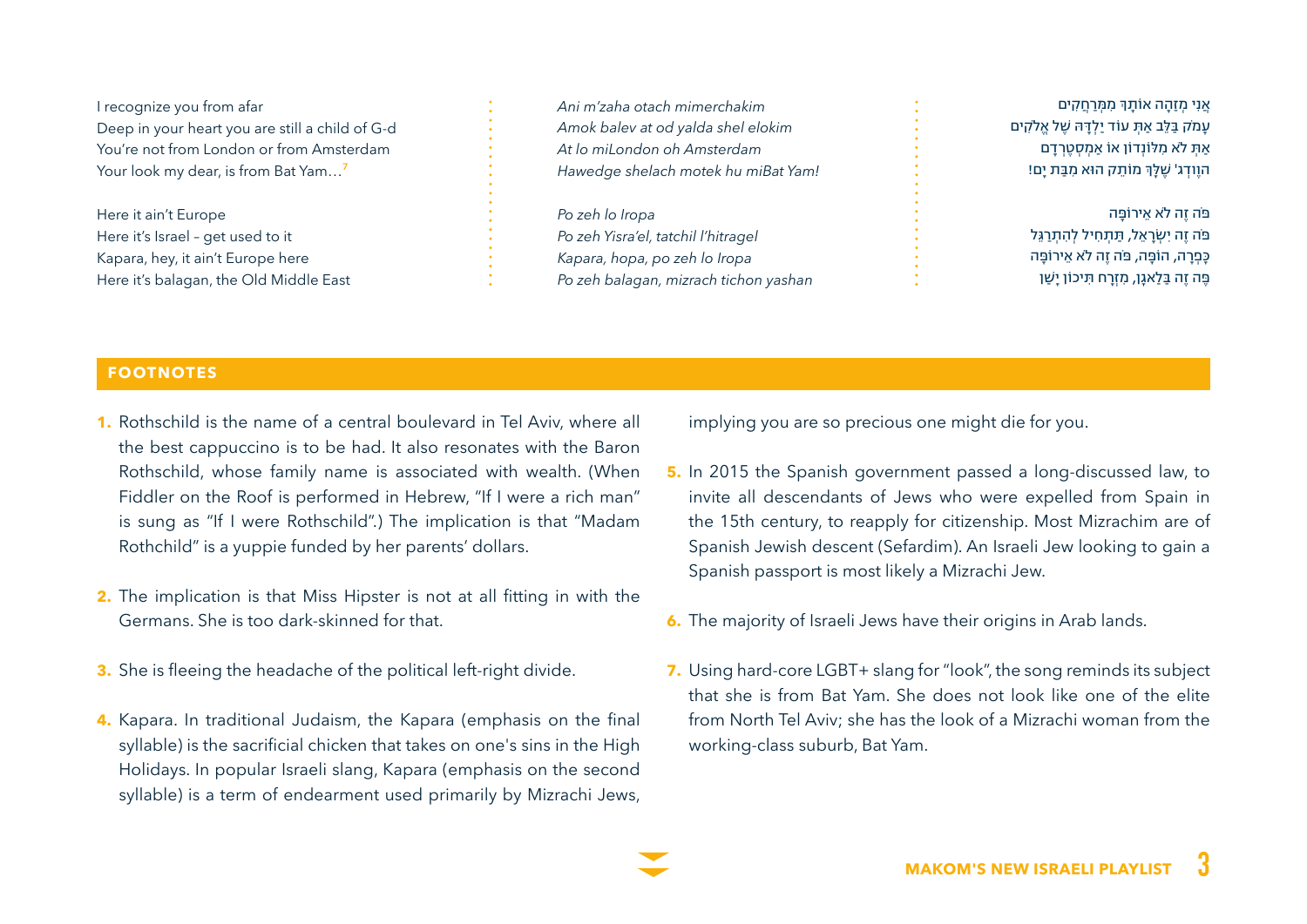I recognize you from afar Deep in your heart you are still a child of G-d You're not from London or from Amsterdam Your look my dear, is from Bat Yam...<sup>7</sup>

Here it ain't Europe Here it's Israel - get used to it Kapara, hey, it ain't Europe here Here it's balagan, the Old Middle East *mimerchakim otach zaha'm Ani* Amok balev at od yalda shel elokim *Amsterdam oh miLondon lo At Hawedge shelach motek hu miBat Yam!* 

Po zeh lo Iropa  $P$ o zeh Yisra'el, tatchil l'hitragel *Kapara, hopa, po zeh lo Iropa Po zeh balagan, mizrach tichon vashan* 

אֲנִי מְזַהָה אוֹתָךְ מִמְרַחֲ<mark>קִים</mark> עָמֹק ּבַ ּלֵב ַאּתְ עֹוד יַלְ ּדָ ּה ׁשֶ ל אֱל ֹקִ ים ַאַתָּ לֹא מִלּוֹנְדוֹן אוֹ אַמְסְטֶרְדַם הוֶודְג' שֶׁלָּךְ מוֹתֵק הוּא מִבַּת יָם!

> ּפֹה זֶה לֹא אֵירוֹפֵּה ּפֹה זה יִשׂראל, תִּתְחִיל להִתְרְגֵל ּכָפְ רָ ה, הֹוּפָ ה, ּפֹה זֶה ל ֹא אֵ ירֹוּפָ ה ּפֶ ה זֶה ּבַ לַאגׇן, מִ זְרָ ח ּתִ יכֹון יָׁשַ ן

#### **FOOTNOTES**

- **1.** Rothschild is the name of a central boulevard in Tel Aviv, where all the best cappuccino is to be had. It also resonates with the Baron Rothschild, whose family name is associated with wealth. (When Fiddler on the Roof is performed in Hebrew, "If I were a rich man" is sung as "If I were Rothschild".) The implication is that "Madam Rothchild" is a yuppie funded by her parents' dollars.
- **2.** The implication is that Miss Hipster is not at all fitting in with the Germans. She is too dark-skinned for that.
- **3.** She is fleeing the headache of the political left-right divide.
- 4. Kapara. In traditional Judaism, the Kapara (emphasis on the final syllable) is the sacrificial chicken that takes on one's sins in the High Holidays. In popular Israeli slang, Kapara (emphasis on the second syllable) is a term of endearment used primarily by Mizrachi Jews,

implying you are so precious one might die for you.

- 5. In 2015 the Spanish government passed a long-discussed law, to invite all descendants of Jews who were expelled from Spain in the 15th century, to reapply for citizenship. Most Mizrachim are of Spanish Jewish descent (Sefardim). An Israeli Jew looking to gain a Spanish passport is most likely a Mizrachi Jew.
- 6. The majority of Israeli Jews have their origins in Arab lands.
- 7. Using hard-core LGBT+ slang for "look", the song reminds its subject that she is from Bat Yam. She does not look like one of the elite from North Tel Aviv: she has the look of a Mizrachi woman from the working-class suburb, Bat Yam.